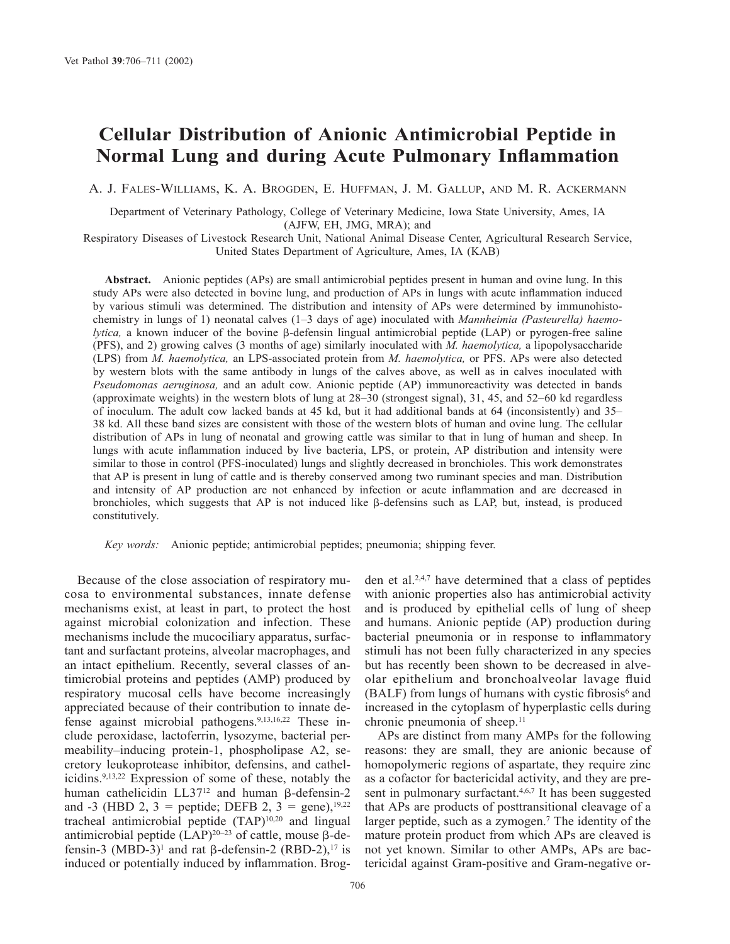# **Cellular Distribution of Anionic Antimicrobial Peptide in Normal Lung and during Acute Pulmonary Inflammation**

A. J. FALES-WILLIAMS, K. A. BROGDEN, E. HUFFMAN, J. M. GALLUP, AND M. R. ACKERMANN

Department of Veterinary Pathology, College of Veterinary Medicine, Iowa State University, Ames, IA (AJFW, EH, JMG, MRA); and

Respiratory Diseases of Livestock Research Unit, National Animal Disease Center, Agricultural Research Service, United States Department of Agriculture, Ames, IA (KAB)

**Abstract.** Anionic peptides (APs) are small antimicrobial peptides present in human and ovine lung. In this study APs were also detected in bovine lung, and production of APs in lungs with acute inflammation induced by various stimuli was determined. The distribution and intensity of APs were determined by immunohistochemistry in lungs of 1) neonatal calves (1–3 days of age) inoculated with *Mannheimia (Pasteurella) haemolytica*, a known inducer of the bovine  $\beta$ -defensin lingual antimicrobial peptide (LAP) or pyrogen-free saline (PFS), and 2) growing calves (3 months of age) similarly inoculated with *M. haemolytica,* a lipopolysaccharide (LPS) from *M. haemolytica,* an LPS-associated protein from *M. haemolytica,* or PFS. APs were also detected by western blots with the same antibody in lungs of the calves above, as well as in calves inoculated with *Pseudomonas aeruginosa,* and an adult cow. Anionic peptide (AP) immunoreactivity was detected in bands (approximate weights) in the western blots of lung at 28–30 (strongest signal), 31, 45, and 52–60 kd regardless of inoculum. The adult cow lacked bands at 45 kd, but it had additional bands at 64 (inconsistently) and 35– 38 kd. All these band sizes are consistent with those of the western blots of human and ovine lung. The cellular distribution of APs in lung of neonatal and growing cattle was similar to that in lung of human and sheep. In lungs with acute inflammation induced by live bacteria, LPS, or protein, AP distribution and intensity were similar to those in control (PFS-inoculated) lungs and slightly decreased in bronchioles. This work demonstrates that AP is present in lung of cattle and is thereby conserved among two ruminant species and man. Distribution and intensity of AP production are not enhanced by infection or acute inflammation and are decreased in bronchioles, which suggests that AP is not induced like  $\beta$ -defensins such as LAP, but, instead, is produced constitutively.

*Key words:* Anionic peptide; antimicrobial peptides; pneumonia; shipping fever.

Because of the close association of respiratory mucosa to environmental substances, innate defense mechanisms exist, at least in part, to protect the host against microbial colonization and infection. These mechanisms include the mucociliary apparatus, surfactant and surfactant proteins, alveolar macrophages, and an intact epithelium. Recently, several classes of antimicrobial proteins and peptides (AMP) produced by respiratory mucosal cells have become increasingly appreciated because of their contribution to innate defense against microbial pathogens.9,13,16,22 These include peroxidase, lactoferrin, lysozyme, bacterial permeability–inducing protein-1, phospholipase A2, secretory leukoprotease inhibitor, defensins, and cathelicidins.9,13,22 Expression of some of these, notably the human cathelicidin  $LL37^{12}$  and human  $\beta$ -defensin-2 and -3 (HBD 2, 3 = peptide; DEFB 2, 3 = gene),<sup>19,22</sup> tracheal antimicrobial peptide (TAP)10,20 and lingual antimicrobial peptide  $(LAP)^{20-23}$  of cattle, mouse  $\beta$ -defensin-3 (MBD-3)<sup>1</sup> and rat  $\beta$ -defensin-2 (RBD-2),<sup>17</sup> is induced or potentially induced by inflammation. Brog-

den et al. $2,4,7$  have determined that a class of peptides with anionic properties also has antimicrobial activity and is produced by epithelial cells of lung of sheep and humans. Anionic peptide (AP) production during bacterial pneumonia or in response to inflammatory stimuli has not been fully characterized in any species but has recently been shown to be decreased in alveolar epithelium and bronchoalveolar lavage fluid  $(BALF)$  from lungs of humans with cystic fibrosis<sup>6</sup> and increased in the cytoplasm of hyperplastic cells during chronic pneumonia of sheep.<sup>11</sup>

APs are distinct from many AMPs for the following reasons: they are small, they are anionic because of homopolymeric regions of aspartate, they require zinc as a cofactor for bactericidal activity, and they are present in pulmonary surfactant.<sup>4,6,7</sup> It has been suggested that APs are products of posttransitional cleavage of a larger peptide, such as a zymogen.<sup>7</sup> The identity of the mature protein product from which APs are cleaved is not yet known. Similar to other AMPs, APs are bactericidal against Gram-positive and Gram-negative or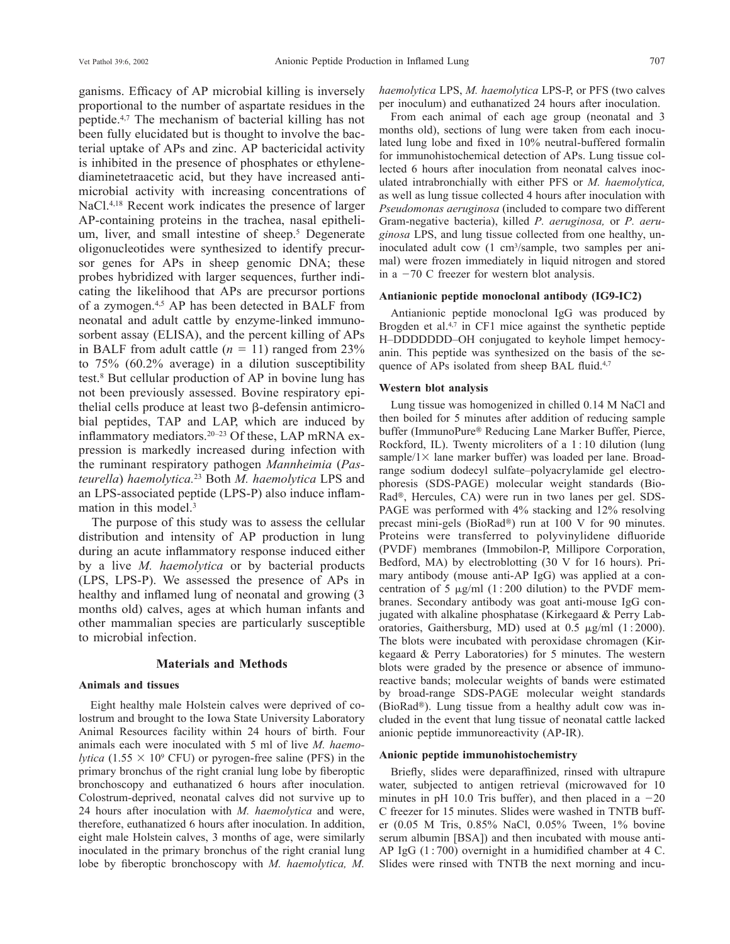ganisms. Efficacy of AP microbial killing is inversely proportional to the number of aspartate residues in the peptide.4,7 The mechanism of bacterial killing has not been fully elucidated but is thought to involve the bacterial uptake of APs and zinc. AP bactericidal activity is inhibited in the presence of phosphates or ethylenediaminetetraacetic acid, but they have increased antimicrobial activity with increasing concentrations of NaCl.4,18 Recent work indicates the presence of larger AP-containing proteins in the trachea, nasal epithelium, liver, and small intestine of sheep.<sup>5</sup> Degenerate oligonucleotides were synthesized to identify precursor genes for APs in sheep genomic DNA; these probes hybridized with larger sequences, further indicating the likelihood that APs are precursor portions of a zymogen.4,5 AP has been detected in BALF from neonatal and adult cattle by enzyme-linked immunosorbent assay (ELISA), and the percent killing of APs in BALF from adult cattle  $(n = 11)$  ranged from 23% to 75% (60.2% average) in a dilution susceptibility test.8 But cellular production of AP in bovine lung has not been previously assessed. Bovine respiratory epithe lial cells produce at least two  $\beta$ -defensin antimicrobial peptides, TAP and LAP, which are induced by inflammatory mediators.20–23 Of these, LAP mRNA expression is markedly increased during infection with the ruminant respiratory pathogen *Mannheimia* (*Pasteurella*) *haemolytica.*<sup>23</sup> Both *M. haemolytica* LPS and an LPS-associated peptide (LPS-P) also induce inflammation in this model.<sup>3</sup>

The purpose of this study was to assess the cellular distribution and intensity of AP production in lung during an acute inflammatory response induced either by a live *M. haemolytica* or by bacterial products (LPS, LPS-P). We assessed the presence of APs in healthy and inflamed lung of neonatal and growing (3 months old) calves, ages at which human infants and other mammalian species are particularly susceptible to microbial infection.

## **Materials and Methods**

#### **Animals and tissues**

Eight healthy male Holstein calves were deprived of colostrum and brought to the Iowa State University Laboratory Animal Resources facility within 24 hours of birth. Four animals each were inoculated with 5 ml of live *M. haemolytica* (1.55  $\times$  10<sup>9</sup> CFU) or pyrogen-free saline (PFS) in the primary bronchus of the right cranial lung lobe by fiberoptic bronchoscopy and euthanatized 6 hours after inoculation. Colostrum-deprived, neonatal calves did not survive up to 24 hours after inoculation with *M. haemolytica* and were, therefore, euthanatized 6 hours after inoculation. In addition, eight male Holstein calves, 3 months of age, were similarly inoculated in the primary bronchus of the right cranial lung lobe by fiberoptic bronchoscopy with *M. haemolytica, M.*

*haemolytica* LPS, *M. haemolytica* LPS-P, or PFS (two calves per inoculum) and euthanatized 24 hours after inoculation.

From each animal of each age group (neonatal and 3 months old), sections of lung were taken from each inoculated lung lobe and fixed in 10% neutral-buffered formalin for immunohistochemical detection of APs. Lung tissue collected 6 hours after inoculation from neonatal calves inoculated intrabronchially with either PFS or *M. haemolytica,* as well as lung tissue collected 4 hours after inoculation with *Pseudomonas aeruginosa* (included to compare two different Gram-negative bacteria), killed *P. aeruginosa,* or *P. aeruginosa* LPS, and lung tissue collected from one healthy, uninoculated adult cow (1 cm<sup>3</sup>/sample, two samples per animal) were frozen immediately in liquid nitrogen and stored in a  $-70$  C freezer for western blot analysis.

# **Antianionic peptide monoclonal antibody (IG9-IC2)**

Antianionic peptide monoclonal IgG was produced by Brogden et al.<sup>4,7</sup> in CF1 mice against the synthetic peptide H–DDDDDDD–OH conjugated to keyhole limpet hemocyanin. This peptide was synthesized on the basis of the sequence of APs isolated from sheep BAL fluid.<sup>4,7</sup>

# **Western blot analysis**

Lung tissue was homogenized in chilled 0.14 M NaCl and then boiled for 5 minutes after addition of reducing sample buffer (ImmunoPure® Reducing Lane Marker Buffer, Pierce, Rockford, IL). Twenty microliters of a 1 : 10 dilution (lung sample/1 $\times$  lane marker buffer) was loaded per lane. Broadrange sodium dodecyl sulfate–polyacrylamide gel electrophoresis (SDS-PAGE) molecular weight standards (Bio-Rad®, Hercules, CA) were run in two lanes per gel. SDS-PAGE was performed with 4% stacking and 12% resolving precast mini-gels (BioRad®) run at 100 V for 90 minutes. Proteins were transferred to polyvinylidene difluoride (PVDF) membranes (Immobilon-P, Millipore Corporation, Bedford, MA) by electroblotting (30 V for 16 hours). Primary antibody (mouse anti-AP IgG) was applied at a concentration of 5  $\mu$ g/ml (1:200 dilution) to the PVDF membranes. Secondary antibody was goat anti-mouse IgG conjugated with alkaline phosphatase (Kirkegaard & Perry Laboratories, Gaithersburg, MD) used at  $0.5 \mu g/ml$  (1:2000). The blots were incubated with peroxidase chromagen (Kirkegaard & Perry Laboratories) for 5 minutes. The western blots were graded by the presence or absence of immunoreactive bands; molecular weights of bands were estimated by broad-range SDS-PAGE molecular weight standards (BioRad®). Lung tissue from a healthy adult cow was included in the event that lung tissue of neonatal cattle lacked anionic peptide immunoreactivity (AP-IR).

#### **Anionic peptide immunohistochemistry**

Briefly, slides were deparaffinized, rinsed with ultrapure water, subjected to antigen retrieval (microwaved for 10 minutes in pH 10.0 Tris buffer), and then placed in a  $-20$ C freezer for 15 minutes. Slides were washed in TNTB buffer (0.05 M Tris, 0.85% NaCl, 0.05% Tween, 1% bovine serum albumin [BSA]) and then incubated with mouse anti-AP IgG (1 : 700) overnight in a humidified chamber at 4 C. Slides were rinsed with TNTB the next morning and incu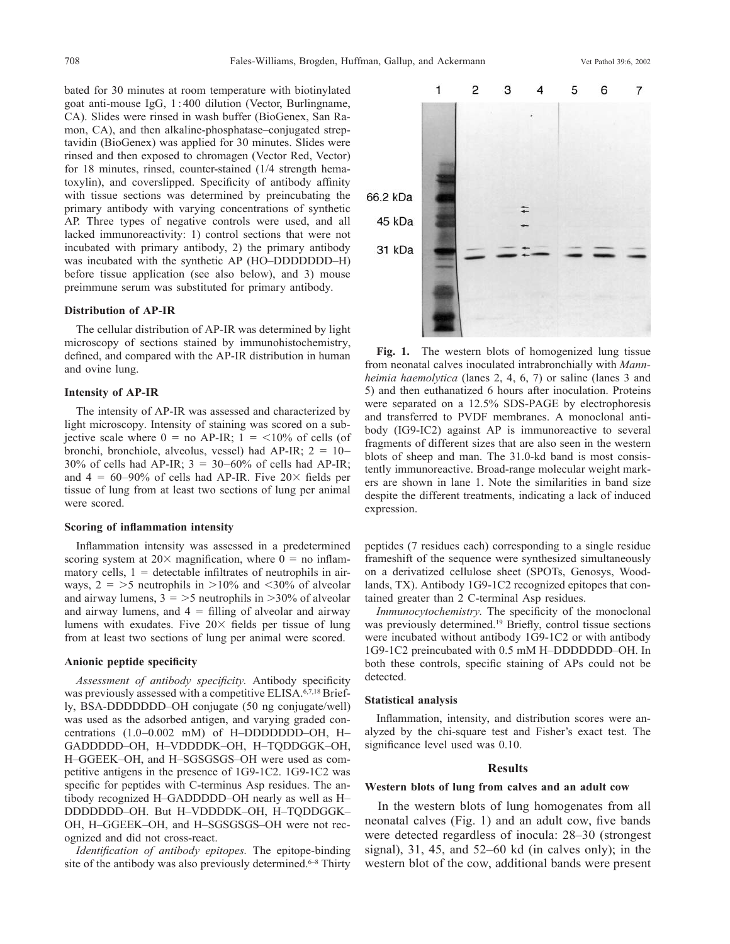bated for 30 minutes at room temperature with biotinylated goat anti-mouse IgG, 1 : 400 dilution (Vector, Burlingname, CA). Slides were rinsed in wash buffer (BioGenex, San Ramon, CA), and then alkaline-phosphatase–conjugated streptavidin (BioGenex) was applied for 30 minutes. Slides were rinsed and then exposed to chromagen (Vector Red, Vector) for 18 minutes, rinsed, counter-stained (1/4 strength hematoxylin), and coverslipped. Specificity of antibody affinity with tissue sections was determined by preincubating the primary antibody with varying concentrations of synthetic AP. Three types of negative controls were used, and all lacked immunoreactivity: 1) control sections that were not incubated with primary antibody, 2) the primary antibody was incubated with the synthetic AP (HO–DDDDDDD–H) before tissue application (see also below), and 3) mouse preimmune serum was substituted for primary antibody.

#### **Distribution of AP-IR**

The cellular distribution of AP-IR was determined by light microscopy of sections stained by immunohistochemistry, defined, and compared with the AP-IR distribution in human and ovine lung.

# **Intensity of AP-IR**

The intensity of AP-IR was assessed and characterized by light microscopy. Intensity of staining was scored on a subjective scale where  $0 =$  no AP-IR;  $1 =$  <10% of cells (of bronchi, bronchiole, alveolus, vessel) had AP-IR;  $2 = 10-$ 30% of cells had AP-IR;  $3 = 30-60%$  of cells had AP-IR; and  $4 = 60-90\%$  of cells had AP-IR. Five  $20 \times$  fields per tissue of lung from at least two sections of lung per animal were scored.

#### **Scoring of inflammation intensity**

Inflammation intensity was assessed in a predetermined scoring system at  $20 \times$  magnification, where  $0 =$  no inflammatory cells,  $1 =$  detectable infiltrates of neutrophils in airways,  $2 = 5$  neutrophils in  $>10\%$  and  $< 30\%$  of alveolar and airway lumens,  $3 = 5$  neutrophils in  $> 30\%$  of alveolar and airway lumens, and  $4 = \text{filling of alveolar and airway}$ lumens with exudates. Five  $20 \times$  fields per tissue of lung from at least two sections of lung per animal were scored.

## **Anionic peptide specificity**

*Assessment of antibody specificity.* Antibody specificity was previously assessed with a competitive ELISA.<sup>6,7,18</sup> Briefly, BSA-DDDDDDD–OH conjugate (50 ng conjugate/well) was used as the adsorbed antigen, and varying graded concentrations (1.0–0.002 mM) of H–DDDDDDD–OH, H– GADDDDD–OH, H–VDDDDK–OH, H–TQDDGGK–OH, H-GGEEK-OH, and H-SGSGSGS-OH were used as competitive antigens in the presence of 1G9-1C2. 1G9-1C2 was specific for peptides with C-terminus Asp residues. The antibody recognized H–GADDDDD–OH nearly as well as H– DDDDDDD–OH. But H–VDDDDK–OH, H–TQDDGGK– OH, H–GGEEK–OH, and H–SGSGSGS–OH were not recognized and did not cross-react.

*Identification of antibody epitopes.* The epitope-binding site of the antibody was also previously determined.<sup>6-8</sup> Thirty



Fig. 1. The western blots of homogenized lung tissue from neonatal calves inoculated intrabronchially with *Mannheimia haemolytica* (lanes 2, 4, 6, 7) or saline (lanes 3 and 5) and then euthanatized 6 hours after inoculation. Proteins were separated on a 12.5% SDS-PAGE by electrophoresis and transferred to PVDF membranes. A monoclonal antibody (IG9-IC2) against AP is immunoreactive to several fragments of different sizes that are also seen in the western blots of sheep and man. The 31.0-kd band is most consistently immunoreactive. Broad-range molecular weight markers are shown in lane 1. Note the similarities in band size despite the different treatments, indicating a lack of induced expression.

peptides (7 residues each) corresponding to a single residue frameshift of the sequence were synthesized simultaneously on a derivatized cellulose sheet (SPOTs, Genosys, Woodlands, TX). Antibody 1G9-1C2 recognized epitopes that contained greater than 2 C-terminal Asp residues.

*Immunocytochemistry.* The specificity of the monoclonal was previously determined.<sup>19</sup> Briefly, control tissue sections were incubated without antibody 1G9-1C2 or with antibody 1G9-1C2 preincubated with 0.5 mM H–DDDDDDD–OH. In both these controls, specific staining of APs could not be detected.

# **Statistical analysis**

Inflammation, intensity, and distribution scores were analyzed by the chi-square test and Fisher's exact test. The significance level used was 0.10.

#### **Results**

# **Western blots of lung from calves and an adult cow**

In the western blots of lung homogenates from all neonatal calves (Fig. 1) and an adult cow, five bands were detected regardless of inocula: 28–30 (strongest signal), 31, 45, and 52–60 kd (in calves only); in the western blot of the cow, additional bands were present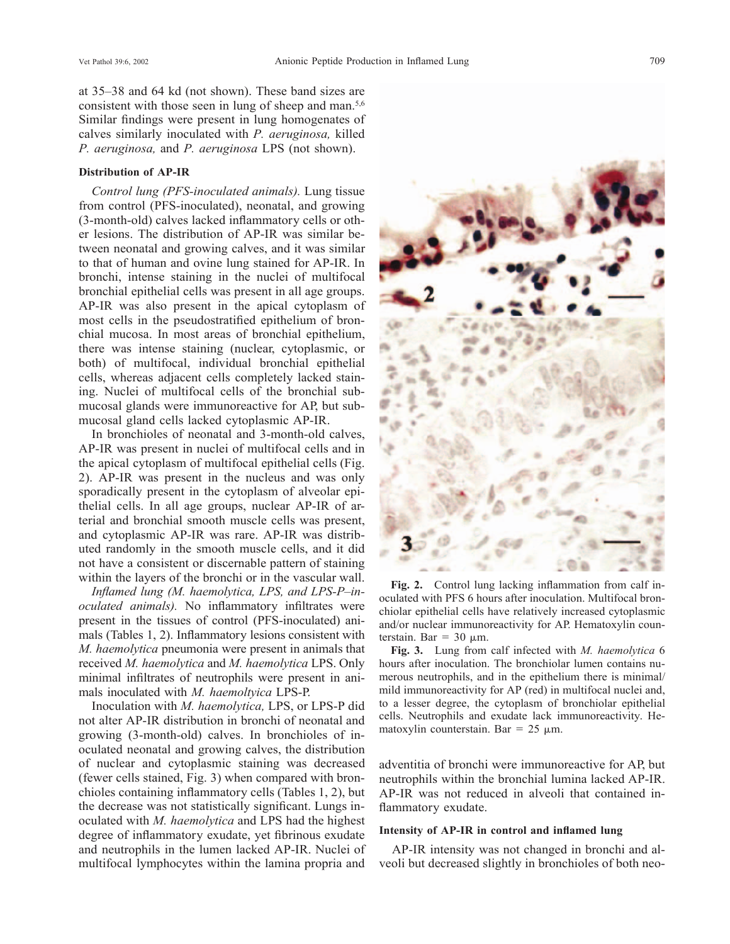at 35–38 and 64 kd (not shown). These band sizes are consistent with those seen in lung of sheep and man.<sup>5,6</sup> Similar findings were present in lung homogenates of calves similarly inoculated with *P. aeruginosa,* killed *P. aeruginosa,* and *P. aeruginosa* LPS (not shown).

# **Distribution of AP-IR**

*Control lung (PFS-inoculated animals).* Lung tissue from control (PFS-inoculated), neonatal, and growing (3-month-old) calves lacked inflammatory cells or other lesions. The distribution of AP-IR was similar between neonatal and growing calves, and it was similar to that of human and ovine lung stained for AP-IR. In bronchi, intense staining in the nuclei of multifocal bronchial epithelial cells was present in all age groups. AP-IR was also present in the apical cytoplasm of most cells in the pseudostratified epithelium of bronchial mucosa. In most areas of bronchial epithelium, there was intense staining (nuclear, cytoplasmic, or both) of multifocal, individual bronchial epithelial cells, whereas adjacent cells completely lacked staining. Nuclei of multifocal cells of the bronchial submucosal glands were immunoreactive for AP, but submucosal gland cells lacked cytoplasmic AP-IR.

In bronchioles of neonatal and 3-month-old calves, AP-IR was present in nuclei of multifocal cells and in the apical cytoplasm of multifocal epithelial cells (Fig. 2). AP-IR was present in the nucleus and was only sporadically present in the cytoplasm of alveolar epithelial cells. In all age groups, nuclear AP-IR of arterial and bronchial smooth muscle cells was present, and cytoplasmic AP-IR was rare. AP-IR was distributed randomly in the smooth muscle cells, and it did not have a consistent or discernable pattern of staining within the layers of the bronchi or in the vascular wall.

*Inflamed lung (M. haemolytica, LPS, and LPS-P–inoculated animals).* No inflammatory infiltrates were present in the tissues of control (PFS-inoculated) animals (Tables 1, 2). Inflammatory lesions consistent with *M. haemolytica* pneumonia were present in animals that received *M. haemolytica* and *M. haemolytica* LPS. Only minimal infiltrates of neutrophils were present in animals inoculated with *M. haemoltyica* LPS-P.

Inoculation with *M. haemolytica,* LPS, or LPS-P did not alter AP-IR distribution in bronchi of neonatal and growing (3-month-old) calves. In bronchioles of inoculated neonatal and growing calves, the distribution of nuclear and cytoplasmic staining was decreased (fewer cells stained, Fig. 3) when compared with bronchioles containing inflammatory cells (Tables 1, 2), but the decrease was not statistically significant. Lungs inoculated with *M. haemolytica* and LPS had the highest degree of inflammatory exudate, yet fibrinous exudate and neutrophils in the lumen lacked AP-IR. Nuclei of multifocal lymphocytes within the lamina propria and



**Fig. 2.** Control lung lacking inflammation from calf inoculated with PFS 6 hours after inoculation. Multifocal bronchiolar epithelial cells have relatively increased cytoplasmic and/or nuclear immunoreactivity for AP. Hematoxylin counterstain. Bar =  $30 \mu$ m.

**Fig. 3.** Lung from calf infected with *M. haemolytica* 6 hours after inoculation. The bronchiolar lumen contains numerous neutrophils, and in the epithelium there is minimal/ mild immunoreactivity for AP (red) in multifocal nuclei and, to a lesser degree, the cytoplasm of bronchiolar epithelial cells. Neutrophils and exudate lack immunoreactivity. Hematoxylin counterstain. Bar =  $25 \mu m$ .

adventitia of bronchi were immunoreactive for AP, but neutrophils within the bronchial lumina lacked AP-IR. AP-IR was not reduced in alveoli that contained inflammatory exudate.

#### **Intensity of AP-IR in control and inflamed lung**

AP-IR intensity was not changed in bronchi and alveoli but decreased slightly in bronchioles of both neo-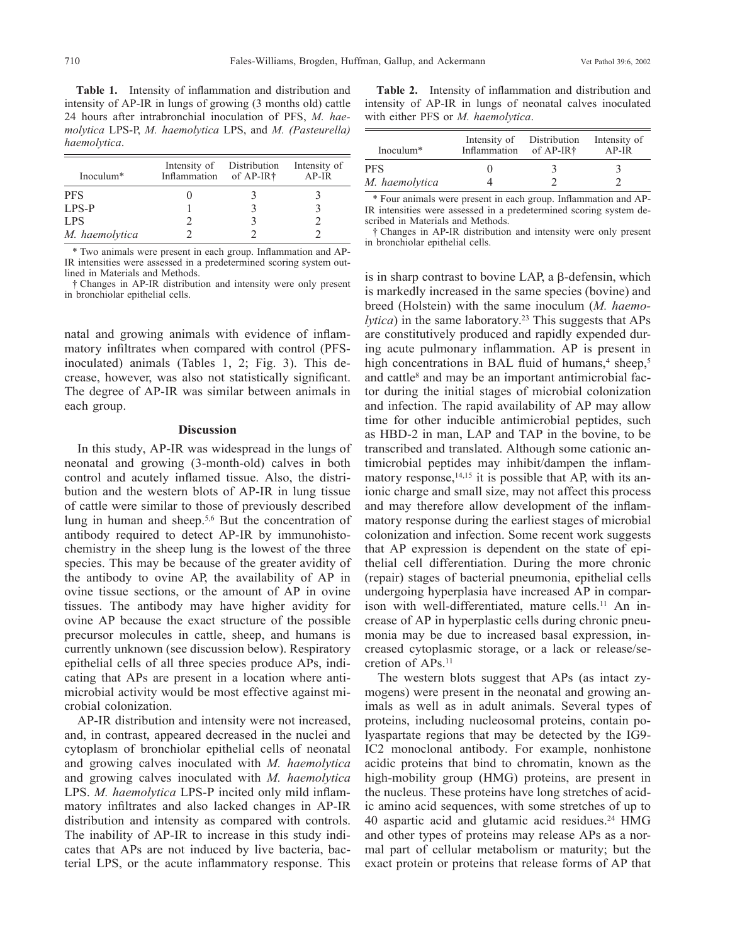**Table 1.** Intensity of inflammation and distribution and intensity of AP-IR in lungs of growing (3 months old) cattle 24 hours after intrabronchial inoculation of PFS, *M. haemolytica* LPS-P, *M. haemolytica* LPS, and *M. (Pasteurella) haemolytica*.

| Inoculum <sup>*</sup> | Inflammation of AP-IR <sup>†</sup> | Intensity of Distribution | Intensity of<br>$AP-IR$ |
|-----------------------|------------------------------------|---------------------------|-------------------------|
| <b>PFS</b>            |                                    |                           |                         |
| $LPS-P$               |                                    |                           |                         |
| LPS.                  |                                    |                           |                         |
| M. haemolytica        |                                    |                           |                         |

\* Two animals were present in each group. Inflammation and AP-IR intensities were assessed in a predetermined scoring system outlined in Materials and Methods.

† Changes in AP-IR distribution and intensity were only present in bronchiolar epithelial cells.

natal and growing animals with evidence of inflammatory infiltrates when compared with control (PFSinoculated) animals (Tables 1, 2; Fig. 3). This decrease, however, was also not statistically significant. The degree of AP-IR was similar between animals in each group.

# **Discussion**

In this study, AP-IR was widespread in the lungs of neonatal and growing (3-month-old) calves in both control and acutely inflamed tissue. Also, the distribution and the western blots of AP-IR in lung tissue of cattle were similar to those of previously described lung in human and sheep.5,6 But the concentration of antibody required to detect AP-IR by immunohistochemistry in the sheep lung is the lowest of the three species. This may be because of the greater avidity of the antibody to ovine AP, the availability of AP in ovine tissue sections, or the amount of AP in ovine tissues. The antibody may have higher avidity for ovine AP because the exact structure of the possible precursor molecules in cattle, sheep, and humans is currently unknown (see discussion below). Respiratory epithelial cells of all three species produce APs, indicating that APs are present in a location where antimicrobial activity would be most effective against microbial colonization.

AP-IR distribution and intensity were not increased, and, in contrast, appeared decreased in the nuclei and cytoplasm of bronchiolar epithelial cells of neonatal and growing calves inoculated with *M. haemolytica* and growing calves inoculated with *M. haemolytica* LPS. *M. haemolytica* LPS-P incited only mild inflammatory infiltrates and also lacked changes in AP-IR distribution and intensity as compared with controls. The inability of AP-IR to increase in this study indicates that APs are not induced by live bacteria, bacterial LPS, or the acute inflammatory response. This

**Table 2.** Intensity of inflammation and distribution and intensity of AP-IR in lungs of neonatal calves inoculated with either PFS or *M. haemolytica*.

| Inoculum $*$          | Intensity of Distribution<br>Inflammation of AP-IR <sup>†</sup> | Intensity of<br>$AP-IR$ |
|-----------------------|-----------------------------------------------------------------|-------------------------|
| PFS<br>M. haemolytica |                                                                 |                         |

\* Four animals were present in each group. Inflammation and AP-IR intensities were assessed in a predetermined scoring system described in Materials and Methods.

† Changes in AP-IR distribution and intensity were only present in bronchiolar epithelial cells.

is in sharp contrast to bovine LAP, a  $\beta$ -defensin, which is markedly increased in the same species (bovine) and breed (Holstein) with the same inoculum (*M. haemolytica*) in the same laboratory.<sup>23</sup> This suggests that APs are constitutively produced and rapidly expended during acute pulmonary inflammation. AP is present in high concentrations in BAL fluid of humans, $4 \text{ sheep}$ , $5 \text{ dep}$ and cattle<sup>8</sup> and may be an important antimicrobial factor during the initial stages of microbial colonization and infection. The rapid availability of AP may allow time for other inducible antimicrobial peptides, such as HBD-2 in man, LAP and TAP in the bovine, to be transcribed and translated. Although some cationic antimicrobial peptides may inhibit/dampen the inflammatory response,<sup>14,15</sup> it is possible that AP, with its anionic charge and small size, may not affect this process and may therefore allow development of the inflammatory response during the earliest stages of microbial colonization and infection. Some recent work suggests that AP expression is dependent on the state of epithelial cell differentiation. During the more chronic (repair) stages of bacterial pneumonia, epithelial cells undergoing hyperplasia have increased AP in comparison with well-differentiated, mature cells.<sup>11</sup> An increase of AP in hyperplastic cells during chronic pneumonia may be due to increased basal expression, increased cytoplasmic storage, or a lack or release/secretion of APs.11

The western blots suggest that APs (as intact zymogens) were present in the neonatal and growing animals as well as in adult animals. Several types of proteins, including nucleosomal proteins, contain polyaspartate regions that may be detected by the IG9- IC2 monoclonal antibody. For example, nonhistone acidic proteins that bind to chromatin, known as the high-mobility group (HMG) proteins, are present in the nucleus. These proteins have long stretches of acidic amino acid sequences, with some stretches of up to 40 aspartic acid and glutamic acid residues.24 HMG and other types of proteins may release APs as a normal part of cellular metabolism or maturity; but the exact protein or proteins that release forms of AP that